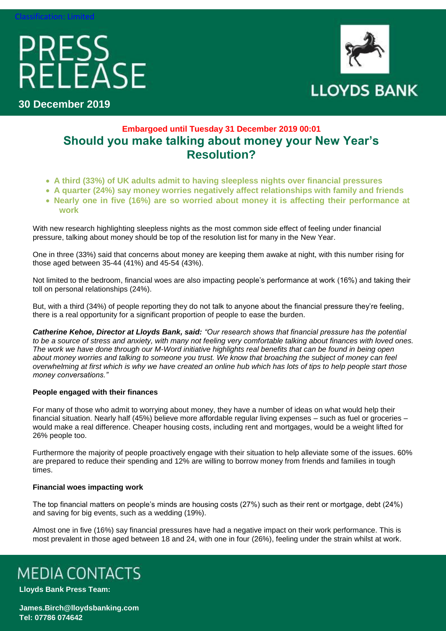# PRESS<br>RELEASE



**30 December 2019**

### **Embargoed until Tuesday 31 December 2019 00:01 Should you make talking about money your New Year's Resolution?**

- **A third (33%) of UK adults admit to having sleepless nights over financial pressures**
- **A quarter (24%) say money worries negatively affect relationships with family and friends**
- **Nearly one in five (16%) are so worried about money it is affecting their performance at work**

With new research highlighting sleepless nights as the most common side effect of feeling under financial pressure, talking about money should be top of the resolution list for many in the New Year.

One in three (33%) said that concerns about money are keeping them awake at night, with this number rising for those aged between 35-44 (41%) and 45-54 (43%).

Not limited to the bedroom, financial woes are also impacting people's performance at work (16%) and taking their toll on personal relationships (24%).

But, with a third (34%) of people reporting they do not talk to anyone about the financial pressure they're feeling, there is a real opportunity for a significant proportion of people to ease the burden.

*Catherine Kehoe, Director at Lloyds Bank, said: "Our research shows that financial pressure has the potential to be a source of stress and anxiety, with many not feeling very comfortable talking about finances with loved ones. The work we have done through our M-Word initiative highlights real benefits that can be found in being open about money worries and talking to someone you trust. We know that broaching the subject of money can feel overwhelming at first which is why we have created an online hub which has lots of tips to help people start those money conversations."*

### **People engaged with their finances**

For many of those who admit to worrying about money, they have a number of ideas on what would help their financial situation. Nearly half (45%) believe more affordable regular living expenses – such as fuel or groceries – would make a real difference. Cheaper housing costs, including rent and mortgages, would be a weight lifted for 26% people too.

Furthermore the majority of people proactively engage with their situation to help alleviate some of the issues. 60% are prepared to reduce their spending and 12% are willing to borrow money from friends and families in tough times.

### **Financial woes impacting work**

The top financial matters on people's minds are housing costs (27%) such as their rent or mortgage, debt (24%) and saving for big events, such as a wedding (19%).

Almost one in five (16%) say financial pressures have had a negative impact on their work performance. This is most prevalent in those aged between 18 and 24, with one in four (26%), feeling under the strain whilst at work.

## **MEDIA CONTACTS**

**Lloyds Bank Press Team:** 

**[James.Birch@lloydsbanking.com](mailto:James.Birch@lloydsbanking.com) Tel: 07786 074642**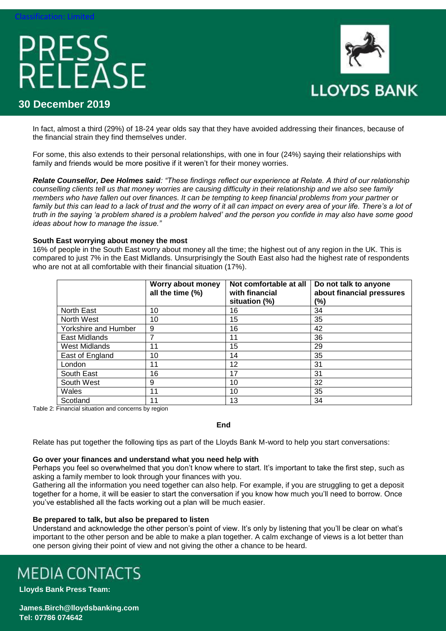# PRESS<br>RELEASE



### **30 December 2019**

In fact, almost a third (29%) of 18-24 year olds say that they have avoided addressing their finances, because of the financial strain they find themselves under.

For some, this also extends to their personal relationships, with one in four (24%) saying their relationships with family and friends would be more positive if it weren't for their money worries.

*Relate Counsellor, Dee Holmes said: "These findings reflect our experience at Relate. A third of our relationship counselling clients tell us that money worries are causing difficulty in their relationship and we also see family members who have fallen out over finances. It can be tempting to keep financial problems from your partner or*  family but this can lead to a lack of trust and the worry of it all can impact on every area of your life. There's a lot of *truth in the saying 'a problem shared is a problem halved' and the person you confide in may also have some good ideas about how to manage the issue."*

### **South East worrying about money the most**

16% of people in the South East worry about money all the time; the highest out of any region in the UK. This is compared to just 7% in the East Midlands. Unsurprisingly the South East also had the highest rate of respondents who are not at all comfortable with their financial situation (17%).

|                      | Worry about money<br>all the time (%) | Not comfortable at all<br>with financial<br>situation (%) | Do not talk to anyone<br>about financial pressures<br>(%) |  |  |
|----------------------|---------------------------------------|-----------------------------------------------------------|-----------------------------------------------------------|--|--|
| North East           | 10                                    | 16                                                        | 34                                                        |  |  |
| North West           | 10                                    | 15                                                        | 35                                                        |  |  |
| Yorkshire and Humber | 9                                     | 16                                                        | 42                                                        |  |  |
| East Midlands        | 7                                     | 11                                                        | 36                                                        |  |  |
| West Midlands        | 11                                    | 15                                                        | 29                                                        |  |  |
| East of England      | 10                                    | 14                                                        | 35                                                        |  |  |
| London               | 11                                    | 12                                                        | 31                                                        |  |  |
| South East           | 16                                    | 17                                                        | 31                                                        |  |  |
| South West           | 9                                     | 10                                                        | 32                                                        |  |  |
| Wales                | 11                                    | 10                                                        | 35                                                        |  |  |
| Scotland             | 11                                    | 13                                                        | 34                                                        |  |  |

Table 2: Financial situation and concerns by region

**End**

Relate has put together the following tips as part of the Lloyds Bank M-word to help you start conversations:

### **Go over your finances and understand what you need help with**

Perhaps you feel so overwhelmed that you don't know where to start. It's important to take the first step, such as asking a family member to look through your finances with you.

Gathering all the information you need together can also help. For example, if you are struggling to get a deposit together for a home, it will be easier to start the conversation if you know how much you'll need to borrow. Once you've established all the facts working out a plan will be much easier.

### **Be prepared to talk, but also be prepared to listen**

Understand and acknowledge the other person's point of view. It's only by listening that you'll be clear on what's important to the other person and be able to make a plan together. A calm exchange of views is a lot better than one person giving their point of view and not giving the other a chance to be heard.

## **MEDIA CONTACTS**

**Lloyds Bank Press Team:** 

**[James.Birch@lloydsbanking.com](mailto:James.Birch@lloydsbanking.com) Tel: 07786 074642**